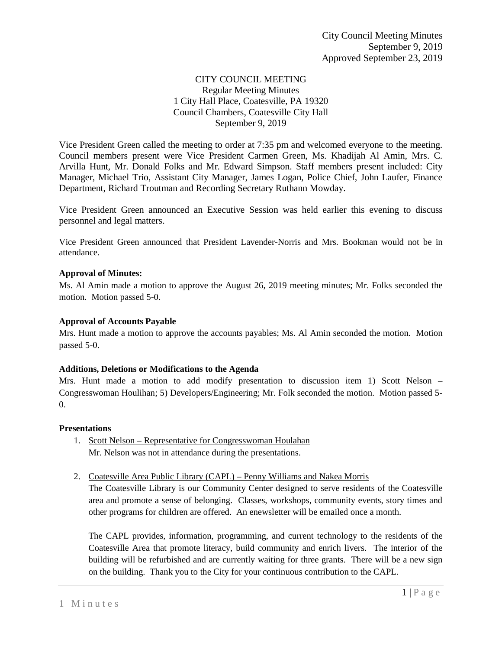# CITY COUNCIL MEETING Regular Meeting Minutes 1 City Hall Place, Coatesville, PA 19320 Council Chambers, Coatesville City Hall September 9, 2019

Vice President Green called the meeting to order at 7:35 pm and welcomed everyone to the meeting. Council members present were Vice President Carmen Green, Ms. Khadijah Al Amin, Mrs. C. Arvilla Hunt, Mr. Donald Folks and Mr. Edward Simpson. Staff members present included: City Manager, Michael Trio, Assistant City Manager, James Logan, Police Chief, John Laufer, Finance Department, Richard Troutman and Recording Secretary Ruthann Mowday.

Vice President Green announced an Executive Session was held earlier this evening to discuss personnel and legal matters.

Vice President Green announced that President Lavender-Norris and Mrs. Bookman would not be in attendance.

## **Approval of Minutes:**

Ms. Al Amin made a motion to approve the August 26, 2019 meeting minutes; Mr. Folks seconded the motion. Motion passed 5-0.

### **Approval of Accounts Payable**

Mrs. Hunt made a motion to approve the accounts payables; Ms. Al Amin seconded the motion. Motion passed 5-0.

#### **Additions, Deletions or Modifications to the Agenda**

Mrs. Hunt made a motion to add modify presentation to discussion item 1) Scott Nelson – Congresswoman Houlihan; 5) Developers/Engineering; Mr. Folk seconded the motion. Motion passed 5- 0.

#### **Presentations**

- 1. Scott Nelson Representative for Congresswoman Houlahan Mr. Nelson was not in attendance during the presentations.
- 2. Coatesville Area Public Library (CAPL) Penny Williams and Nakea Morris

The Coatesville Library is our Community Center designed to serve residents of the Coatesville area and promote a sense of belonging. Classes, workshops, community events, story times and other programs for children are offered. An enewsletter will be emailed once a month.

The CAPL provides, information, programming, and current technology to the residents of the Coatesville Area that promote literacy, build community and enrich livers. The interior of the building will be refurbished and are currently waiting for three grants. There will be a new sign on the building. Thank you to the City for your continuous contribution to the CAPL.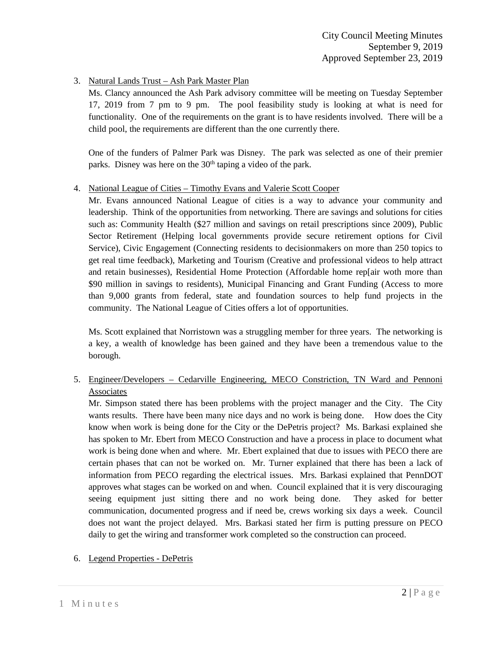# 3. Natural Lands Trust – Ash Park Master Plan

Ms. Clancy announced the Ash Park advisory committee will be meeting on Tuesday September 17, 2019 from 7 pm to 9 pm. The pool feasibility study is looking at what is need for functionality. One of the requirements on the grant is to have residents involved. There will be a child pool, the requirements are different than the one currently there.

One of the funders of Palmer Park was Disney. The park was selected as one of their premier parks. Disney was here on the 30<sup>th</sup> taping a video of the park.

## 4. National League of Cities – Timothy Evans and Valerie Scott Cooper

Mr. Evans announced National League of cities is a way to advance your community and leadership. Think of the opportunities from networking. There are savings and solutions for cities such as: Community Health (\$27 million and savings on retail prescriptions since 2009), Public Sector Retirement (Helping local governments provide secure retirement options for Civil Service), Civic Engagement (Connecting residents to decisionmakers on more than 250 topics to get real time feedback), Marketing and Tourism (Creative and professional videos to help attract and retain businesses), Residential Home Protection (Affordable home rep[air woth more than \$90 million in savings to residents), Municipal Financing and Grant Funding (Access to more than 9,000 grants from federal, state and foundation sources to help fund projects in the community. The National League of Cities offers a lot of opportunities.

Ms. Scott explained that Norristown was a struggling member for three years. The networking is a key, a wealth of knowledge has been gained and they have been a tremendous value to the borough.

# 5. Engineer/Developers – Cedarville Engineering, MECO Constriction, TN Ward and Pennoni Associates

Mr. Simpson stated there has been problems with the project manager and the City. The City wants results. There have been many nice days and no work is being done. How does the City know when work is being done for the City or the DePetris project? Ms. Barkasi explained she has spoken to Mr. Ebert from MECO Construction and have a process in place to document what work is being done when and where. Mr. Ebert explained that due to issues with PECO there are certain phases that can not be worked on. Mr. Turner explained that there has been a lack of information from PECO regarding the electrical issues. Mrs. Barkasi explained that PennDOT approves what stages can be worked on and when. Council explained that it is very discouraging seeing equipment just sitting there and no work being done. They asked for better communication, documented progress and if need be, crews working six days a week. Council does not want the project delayed. Mrs. Barkasi stated her firm is putting pressure on PECO daily to get the wiring and transformer work completed so the construction can proceed.

#### 6. Legend Properties - DePetris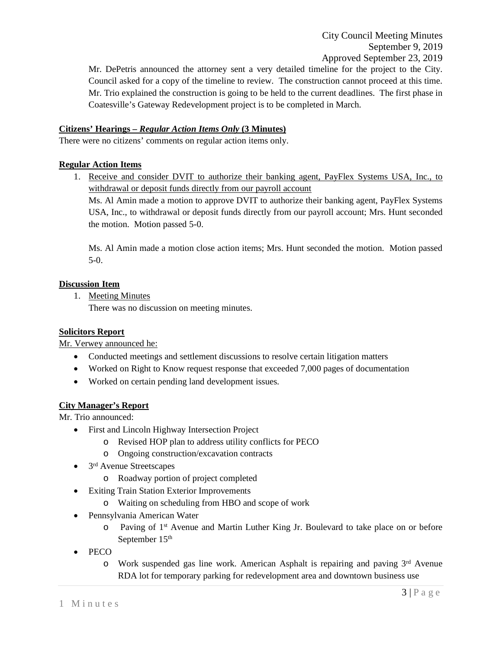City Council Meeting Minutes September 9, 2019 Approved September 23, 2019

Mr. DePetris announced the attorney sent a very detailed timeline for the project to the City. Council asked for a copy of the timeline to review. The construction cannot proceed at this time. Mr. Trio explained the construction is going to be held to the current deadlines. The first phase in Coatesville's Gateway Redevelopment project is to be completed in March.

## **Citizens' Hearings –** *Regular Action Items Only* **(3 Minutes)**

There were no citizens' comments on regular action items only.

### **Regular Action Items**

1. Receive and consider DVIT to authorize their banking agent, PayFlex Systems USA, Inc., to withdrawal or deposit funds directly from our payroll account Ms. Al Amin made a motion to approve DVIT to authorize their banking agent, PayFlex Systems

USA, Inc., to withdrawal or deposit funds directly from our payroll account; Mrs. Hunt seconded the motion. Motion passed 5-0.

Ms. Al Amin made a motion close action items; Mrs. Hunt seconded the motion. Motion passed 5-0.

## **Discussion Item**

1. Meeting Minutes

There was no discussion on meeting minutes.

#### **Solicitors Report**

Mr. Verwey announced he:

- Conducted meetings and settlement discussions to resolve certain litigation matters
- Worked on Right to Know request response that exceeded 7,000 pages of documentation
- Worked on certain pending land development issues.

#### **City Manager's Report**

Mr. Trio announced:

- First and Lincoln Highway Intersection Project
	- o Revised HOP plan to address utility conflicts for PECO
	- o Ongoing construction/excavation contracts
- $\bullet$  3<sup>rd</sup> Avenue Streetscapes
	- o Roadway portion of project completed
- Exiting Train Station Exterior Improvements
	- o Waiting on scheduling from HBO and scope of work
- Pennsylvania American Water
	- o Paving of 1st Avenue and Martin Luther King Jr. Boulevard to take place on or before September 15<sup>th</sup>
- PECO
	- $\circ$  Work suspended gas line work. American Asphalt is repairing and paving  $3<sup>rd</sup>$  Avenue RDA lot for temporary parking for redevelopment area and downtown business use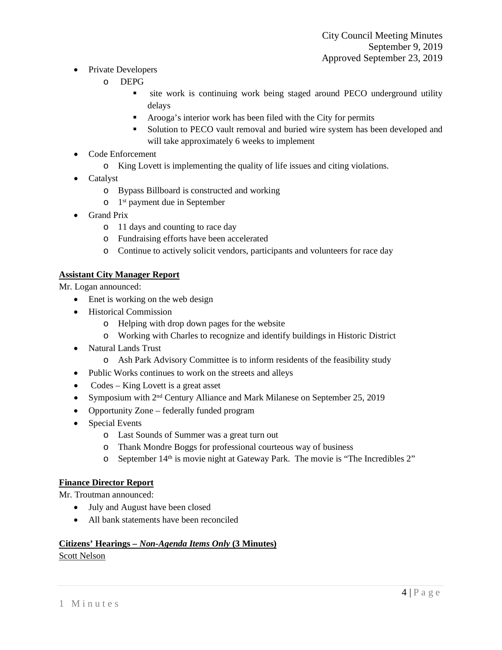- Private Developers
	- o DEPG
		- site work is continuing work being staged around PECO underground utility delays
		- Arooga's interior work has been filed with the City for permits
		- Solution to PECO vault removal and buried wire system has been developed and will take approximately 6 weeks to implement
- Code Enforcement
	- o King Lovett is implementing the quality of life issues and citing violations.
- Catalyst
	- o Bypass Billboard is constructed and working
	- o 1st payment due in September
- Grand Prix
	- o 11 days and counting to race day
	- o Fundraising efforts have been accelerated
	- o Continue to actively solicit vendors, participants and volunteers for race day

# **Assistant City Manager Report**

Mr. Logan announced:

- Enet is working on the web design
- Historical Commission
	- o Helping with drop down pages for the website
	- o Working with Charles to recognize and identify buildings in Historic District
- Natural Lands Trust
	- o Ash Park Advisory Committee is to inform residents of the feasibility study
- Public Works continues to work on the streets and alleys
- Codes King Lovett is a great asset
- Symposium with  $2<sup>nd</sup>$  Century Alliance and Mark Milanese on September 25, 2019
- Opportunity Zone federally funded program
- Special Events
	- o Last Sounds of Summer was a great turn out
	- o Thank Mondre Boggs for professional courteous way of business
	- o September 14<sup>th</sup> is movie night at Gateway Park. The movie is "The Incredibles 2"

# **Finance Director Report**

Mr. Troutman announced:

- July and August have been closed
- All bank statements have been reconciled

# **Citizens' Hearings –** *Non-Agenda Items Only* **(3 Minutes)**

#### Scott Nelson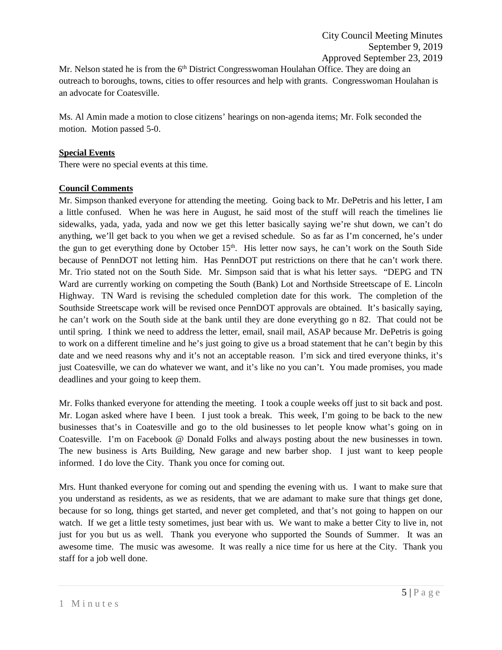Mr. Nelson stated he is from the  $6<sup>th</sup>$  District Congresswoman Houlahan Office. They are doing an outreach to boroughs, towns, cities to offer resources and help with grants. Congresswoman Houlahan is an advocate for Coatesville.

Ms. Al Amin made a motion to close citizens' hearings on non-agenda items; Mr. Folk seconded the motion. Motion passed 5-0.

### **Special Events**

There were no special events at this time.

## **Council Comments**

Mr. Simpson thanked everyone for attending the meeting. Going back to Mr. DePetris and his letter, I am a little confused. When he was here in August, he said most of the stuff will reach the timelines lie sidewalks, yada, yada, yada and now we get this letter basically saying we're shut down, we can't do anything, we'll get back to you when we get a revised schedule. So as far as I'm concerned, he's under the gun to get everything done by October 15<sup>th</sup>. His letter now says, he can't work on the South Side because of PennDOT not letting him. Has PennDOT put restrictions on there that he can't work there. Mr. Trio stated not on the South Side. Mr. Simpson said that is what his letter says. "DEPG and TN Ward are currently working on competing the South (Bank) Lot and Northside Streetscape of E. Lincoln Highway. TN Ward is revising the scheduled completion date for this work. The completion of the Southside Streetscape work will be revised once PennDOT approvals are obtained. It's basically saying, he can't work on the South side at the bank until they are done everything go n 82. That could not be until spring. I think we need to address the letter, email, snail mail, ASAP because Mr. DePetris is going to work on a different timeline and he's just going to give us a broad statement that he can't begin by this date and we need reasons why and it's not an acceptable reason. I'm sick and tired everyone thinks, it's just Coatesville, we can do whatever we want, and it's like no you can't. You made promises, you made deadlines and your going to keep them.

Mr. Folks thanked everyone for attending the meeting. I took a couple weeks off just to sit back and post. Mr. Logan asked where have I been. I just took a break. This week, I'm going to be back to the new businesses that's in Coatesville and go to the old businesses to let people know what's going on in Coatesville. I'm on Facebook @ Donald Folks and always posting about the new businesses in town. The new business is Arts Building, New garage and new barber shop. I just want to keep people informed. I do love the City. Thank you once for coming out.

Mrs. Hunt thanked everyone for coming out and spending the evening with us. I want to make sure that you understand as residents, as we as residents, that we are adamant to make sure that things get done, because for so long, things get started, and never get completed, and that's not going to happen on our watch. If we get a little testy sometimes, just bear with us. We want to make a better City to live in, not just for you but us as well. Thank you everyone who supported the Sounds of Summer. It was an awesome time. The music was awesome. It was really a nice time for us here at the City. Thank you staff for a job well done.